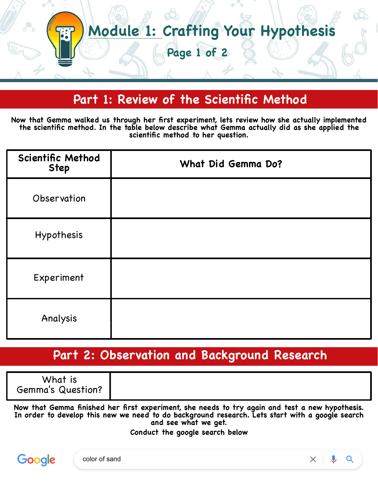

## **Part 1: Review of the Scientific Method**

**Now that Gemma walked us through her first experiment, lets review how she actually implemented the scientific method. In the table below describe what Gemma actually did as she applied the scientific method to her question.**

| Scientific Method<br>Step | What Did Gemma Do? |  |
|---------------------------|--------------------|--|
| Observation               |                    |  |
| Hypothesis                |                    |  |
| Experiment                |                    |  |
| Analysis                  |                    |  |

## **Part 2: Observation and Background Research**

|--|--|--|--|

**Now that Gemma finished her first experiment, she needs to try again and test a new hypothesis. In order to develop this new we need to do background research. Lets start with a google search and see what we get.**

**Conduct the google search below**



Q  $\times$